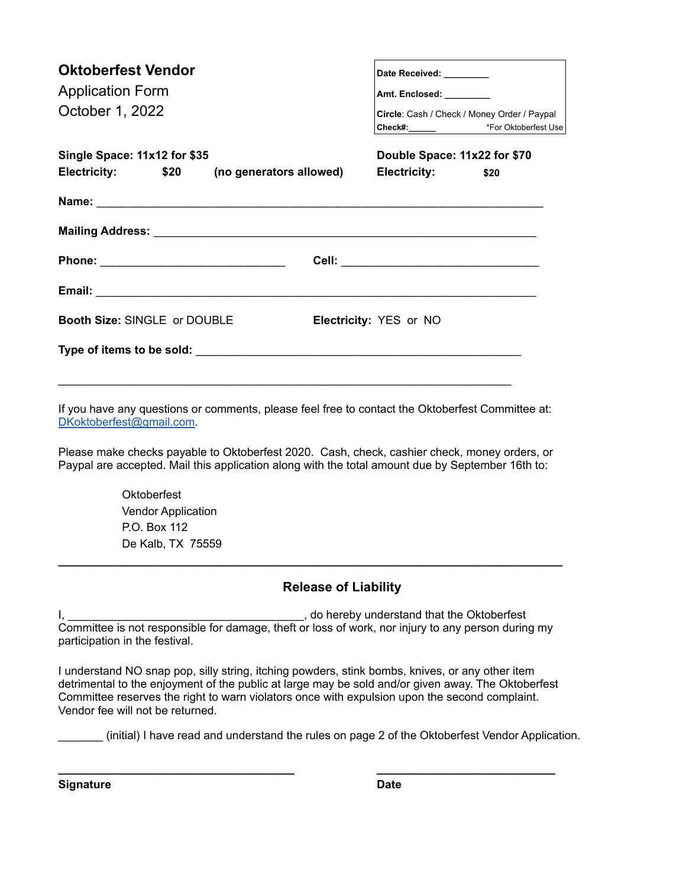| <b>Oktoberfest Vendor</b><br><b>Application Form</b><br>October 1, 2022 |  |  |  | Date Received: ________<br>Amt. Enclosed: ________<br>Circle: Cash / Check / Money Order / Paypal |      |  |
|-------------------------------------------------------------------------|--|--|--|---------------------------------------------------------------------------------------------------|------|--|
| Single Space: 11x12 for \$35                                            |  |  |  | Double Space: 11x22 for \$70                                                                      |      |  |
| Electricity: \$20 (no generators allowed) Electricity:                  |  |  |  |                                                                                                   | \$20 |  |
|                                                                         |  |  |  |                                                                                                   |      |  |
|                                                                         |  |  |  |                                                                                                   |      |  |
|                                                                         |  |  |  |                                                                                                   |      |  |
|                                                                         |  |  |  |                                                                                                   |      |  |
| Booth Size: SINGLE or DOUBLE                                            |  |  |  | Electricity: YES or NO                                                                            |      |  |
|                                                                         |  |  |  |                                                                                                   |      |  |
|                                                                         |  |  |  |                                                                                                   |      |  |

If you have any questions or comments, please feel free to contact the Oktoberfest Committee at: DKoktoberfest@gmail.com.

Please make checks payable to Oktoberfest 2020. Cash, check, cashier check, money orders, or Paypal are accepted. Mail this application along with the total amount due by September 16th to:

> **Oktoberfest** Vendor Application P.O. Box 112 De Kalb, TX 75559

## **Release of Liability**

I, \_\_\_\_\_\_\_\_\_\_\_\_\_\_\_\_\_\_\_\_\_\_\_\_\_\_\_\_\_\_\_\_\_\_\_\_\_, do hereby understand that the Oktoberfest Committee is not responsible for damage, theft or loss of work, nor injury to any person during my participation in the festival.

**\_\_\_\_\_\_\_\_\_\_\_\_\_\_\_\_\_\_\_\_\_\_\_\_\_\_\_\_\_\_\_\_\_\_\_\_\_\_\_\_\_\_\_\_\_\_\_\_\_\_\_\_\_\_\_\_\_\_\_\_\_\_\_\_\_\_\_\_\_\_\_\_\_\_\_\_\_\_\_**

I understand NO snap pop, silly string, itching powders, stink bombs, knives, or any other item detrimental to the enjoyment of the public at large may be sold and/or given away. The Oktoberfest Committee reserves the right to warn violators once with expulsion upon the second complaint. Vendor fee will not be returned.

**\_\_\_\_\_\_\_\_\_\_\_\_\_\_\_\_\_\_\_\_\_\_\_\_\_\_\_\_\_\_\_\_\_\_\_\_\_ \_\_\_\_\_\_\_\_\_\_\_\_\_\_\_\_\_\_\_\_\_\_\_\_\_\_\_\_**

\_\_\_\_\_\_\_ (initial) I have read and understand the rules on page 2 of the Oktoberfest Vendor Application.

**Signature Date**